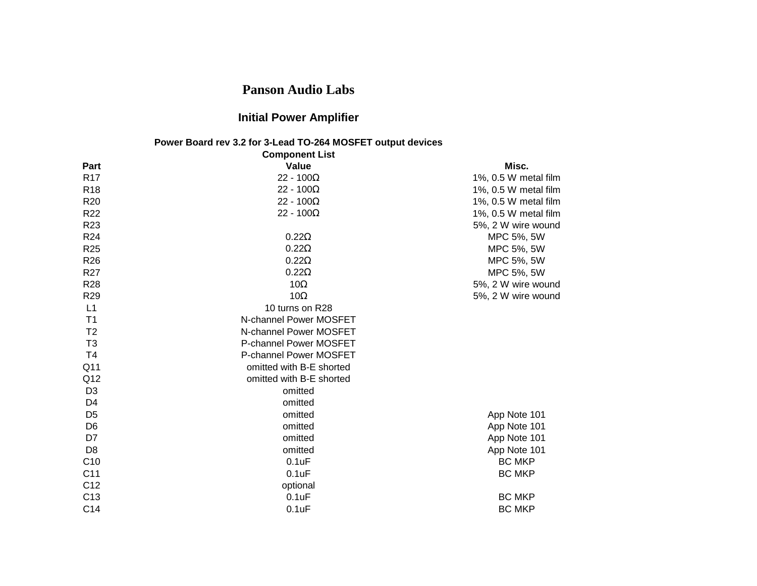## **Panson Audio Labs**

## **Initial Power Amplifier**

## **Power Board rev 3.2 for 3-Lead TO-264 MOSFET output devices Component List**

|                 | <b>Component List</b>    |                      |
|-----------------|--------------------------|----------------------|
| Part            | Value                    | Misc.                |
| R <sub>17</sub> | $22 - 100\Omega$         | 1%, 0.5 W metal film |
| <b>R18</b>      | 22 - $100\Omega$         | 1%, 0.5 W metal film |
| R <sub>20</sub> | $22 - 100\Omega$         | 1%, 0.5 W metal film |
| R <sub>22</sub> | 22 - $100\Omega$         | 1%, 0.5 W metal film |
| R <sub>23</sub> |                          | 5%, 2 W wire wound   |
| R <sub>24</sub> | $0.22\Omega$             | MPC 5%, 5W           |
| R <sub>25</sub> | $0.22\Omega$             | MPC 5%, 5W           |
| R <sub>26</sub> | $0.22\Omega$             | MPC 5%, 5W           |
| R <sub>27</sub> | $0.22\Omega$             | MPC 5%, 5W           |
| <b>R28</b>      | 10 $\Omega$              | 5%, 2 W wire wound   |
| R <sub>29</sub> | 10 $\Omega$              | 5%, 2 W wire wound   |
| L1              | 10 turns on R28          |                      |
| T <sub>1</sub>  | N-channel Power MOSFET   |                      |
| T <sub>2</sub>  | N-channel Power MOSFET   |                      |
| T <sub>3</sub>  | P-channel Power MOSFET   |                      |
| T <sub>4</sub>  | P-channel Power MOSFET   |                      |
| Q <sub>11</sub> | omitted with B-E shorted |                      |
| Q12             | omitted with B-E shorted |                      |
| D <sub>3</sub>  | omitted                  |                      |
| D4              | omitted                  |                      |
| D <sub>5</sub>  | omitted                  | App Note 101         |
| D <sub>6</sub>  | omitted                  | App Note 101         |
| D7              | omitted                  | App Note 101         |
| D <sub>8</sub>  | omitted                  | App Note 101         |
| C <sub>10</sub> | 0.1uF                    | <b>BC MKP</b>        |
| C <sub>11</sub> | 0.1uF                    | <b>BC MKP</b>        |
| C <sub>12</sub> | optional                 |                      |
| C <sub>13</sub> | 0.1uF                    | <b>BC MKP</b>        |
| C <sub>14</sub> | 0.1uF                    | <b>BC MKP</b>        |
|                 |                          |                      |